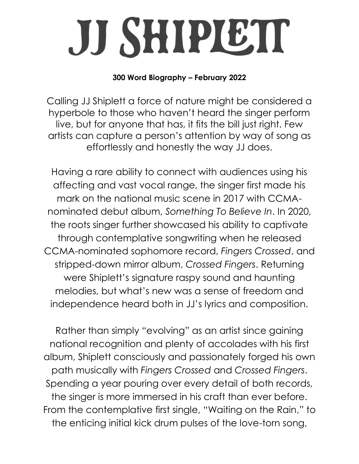## JJ SHIPIETT

## **300 Word Biography – February 2022**

Calling JJ Shiplett a force of nature might be considered a hyperbole to those who haven't heard the singer perform live, but for anyone that has, it fits the bill just right. Few artists can capture a person's attention by way of song as effortlessly and honestly the way JJ does.

Having a rare ability to connect with audiences using his affecting and vast vocal range, the singer first made his mark on the national music scene in 2017 with CCMAnominated debut album, *Something To Believe In*. In 2020, the roots singer further showcased his ability to captivate through contemplative songwriting when he released CCMA-nominated sophomore record, *Fingers Crossed*, and stripped-down mirror album, *Crossed Fingers*. Returning were Shiplett's signature raspy sound and haunting melodies, but what's new was a sense of freedom and independence heard both in JJ's lyrics and composition.

Rather than simply "evolving" as an artist since gaining national recognition and plenty of accolades with his first album, Shiplett consciously and passionately forged his own path musically with *Fingers Crossed* and *Crossed Fingers*. Spending a year pouring over every detail of both records, the singer is more immersed in his craft than ever before. From the contemplative first single, "Waiting on the Rain," to the enticing initial kick drum pulses of the love-torn song,